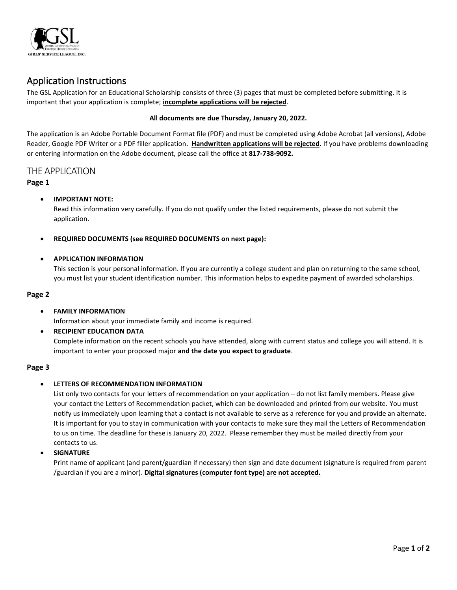

# Application Instructions

The GSL Application for an Educational Scholarship consists of three (3) pages that must be completed before submitting. It is important that your application is complete; **incomplete applications will be rejected**.

#### **All documents are due Thursday, January 20, 2022.**

The application is an Adobe Portable Document Format file (PDF) and must be completed using Adobe Acrobat (all versions), Adobe Reader, Google PDF Writer or a PDF filler application. **Handwritten applications will be rejected**. If you have problems downloading or entering information on the Adobe document, please call the office at **817-738-9092.**

### THE APPLICATION

#### **Page 1**

#### • **IMPORTANT NOTE:**

Read this information very carefully. If you do not qualify under the listed requirements, please do not submit the application.

#### • **REQUIRED DOCUMENTS (see REQUIRED DOCUMENTS on next page):**

#### • **APPLICATION INFORMATION**

This section is your personal information. If you are currently a college student and plan on returning to the same school, you must list your student identification number. This information helps to expedite payment of awarded scholarships.

#### **Page 2**

#### • **FAMILY INFORMATION**

Information about your immediate family and income is required.

• **RECIPIENT EDUCATION DATA**

Complete information on the recent schools you have attended, along with current status and college you will attend. It is important to enter your proposed major **and the date you expect to graduate**.

#### **Page 3**

#### • **LETTERS OF RECOMMENDATION INFORMATION**

List only two contacts for your letters of recommendation on your application – do not list family members. Please give your contact the Letters of Recommendation packet, which can be downloaded and printed from our website. You must notify us immediately upon learning that a contact is not available to serve as a reference for you and provide an alternate. It is important for you to stay in communication with your contacts to make sure they mail the Letters of Recommendation to us on time. The deadline for these is January 20, 2022. Please remember they must be mailed directly from your contacts to us.

• **SIGNATURE**

Print name of applicant (and parent/guardian if necessary) then sign and date document (signature is required from parent /guardian if you are a minor). **Digital signatures (computer font type) are not accepted.**